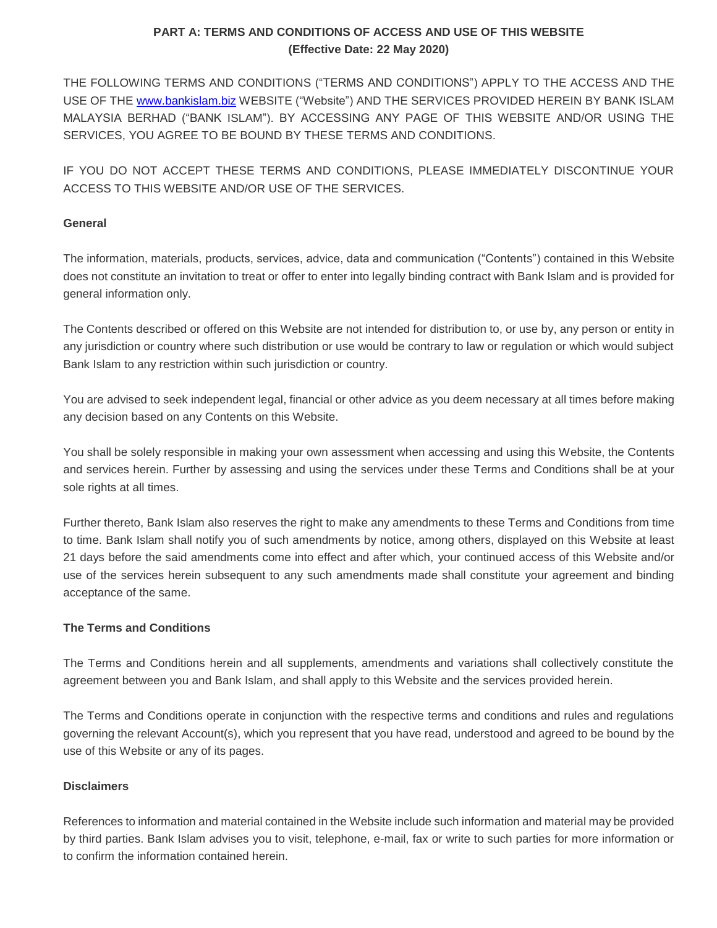THE FOLLOWING TERMS AND CONDITIONS ("TERMS AND CONDITIONS") APPLY TO THE ACCESS AND THE USE OF THE [www.bankislam.biz](http://www.bankislam.biz/) WEBSITE ("Website") AND THE SERVICES PROVIDED HEREIN BY BANK ISLAM MALAYSIA BERHAD ("BANK ISLAM"). BY ACCESSING ANY PAGE OF THIS WEBSITE AND/OR USING THE SERVICES, YOU AGREE TO BE BOUND BY THESE TERMS AND CONDITIONS.

IF YOU DO NOT ACCEPT THESE TERMS AND CONDITIONS, PLEASE IMMEDIATELY DISCONTINUE YOUR ACCESS TO THIS WEBSITE AND/OR USE OF THE SERVICES.

## **General**

The information, materials, products, services, advice, data and communication ("Contents") contained in this Website does not constitute an invitation to treat or offer to enter into legally binding contract with Bank Islam and is provided for general information only.

The Contents described or offered on this Website are not intended for distribution to, or use by, any person or entity in any jurisdiction or country where such distribution or use would be contrary to law or regulation or which would subject Bank Islam to any restriction within such jurisdiction or country.

You are advised to seek independent legal, financial or other advice as you deem necessary at all times before making any decision based on any Contents on this Website.

You shall be solely responsible in making your own assessment when accessing and using this Website, the Contents and services herein. Further by assessing and using the services under these Terms and Conditions shall be at your sole rights at all times.

Further thereto, Bank Islam also reserves the right to make any amendments to these Terms and Conditions from time to time. Bank Islam shall notify you of such amendments by notice, among others, displayed on this Website at least 21 days before the said amendments come into effect and after which, your continued access of this Website and/or use of the services herein subsequent to any such amendments made shall constitute your agreement and binding acceptance of the same.

## **The Terms and Conditions**

The Terms and Conditions herein and all supplements, amendments and variations shall collectively constitute the agreement between you and Bank Islam, and shall apply to this Website and the services provided herein.

The Terms and Conditions operate in conjunction with the respective terms and conditions and rules and regulations governing the relevant Account(s), which you represent that you have read, understood and agreed to be bound by the use of this Website or any of its pages.

## **Disclaimers**

References to information and material contained in the Website include such information and material may be provided by third parties. Bank Islam advises you to visit, telephone, e-mail, fax or write to such parties for more information or to confirm the information contained herein.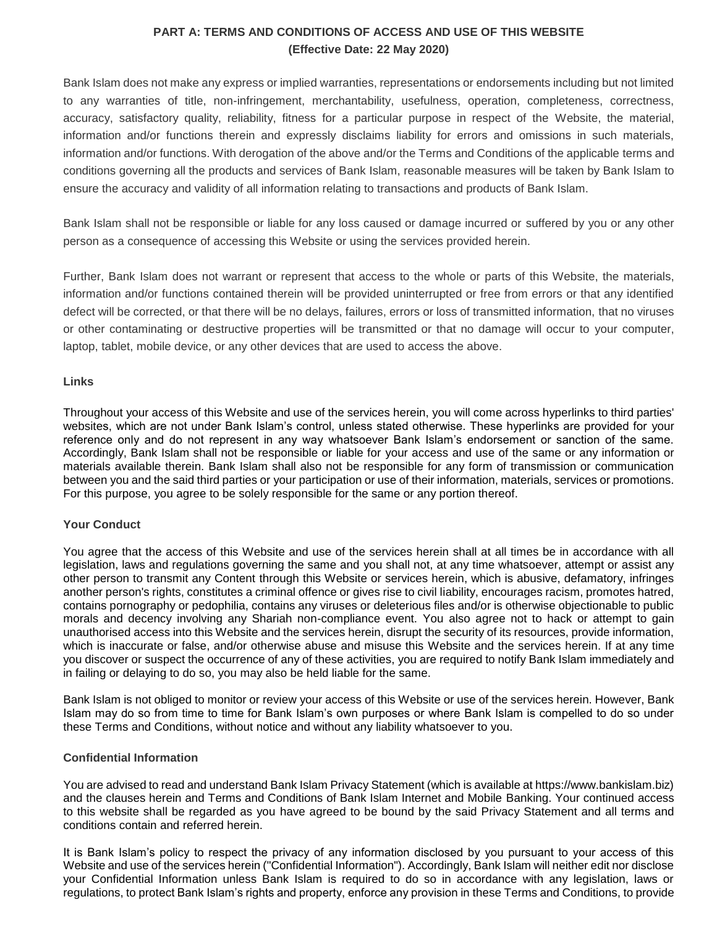Bank Islam does not make any express or implied warranties, representations or endorsements including but not limited to any warranties of title, non-infringement, merchantability, usefulness, operation, completeness, correctness, accuracy, satisfactory quality, reliability, fitness for a particular purpose in respect of the Website, the material, information and/or functions therein and expressly disclaims liability for errors and omissions in such materials, information and/or functions. With derogation of the above and/or the Terms and Conditions of the applicable terms and conditions governing all the products and services of Bank Islam, reasonable measures will be taken by Bank Islam to ensure the accuracy and validity of all information relating to transactions and products of Bank Islam.

Bank Islam shall not be responsible or liable for any loss caused or damage incurred or suffered by you or any other person as a consequence of accessing this Website or using the services provided herein.

Further, Bank Islam does not warrant or represent that access to the whole or parts of this Website, the materials, information and/or functions contained therein will be provided uninterrupted or free from errors or that any identified defect will be corrected, or that there will be no delays, failures, errors or loss of transmitted information, that no viruses or other contaminating or destructive properties will be transmitted or that no damage will occur to your computer, laptop, tablet, mobile device, or any other devices that are used to access the above.

#### **Links**

Throughout your access of this Website and use of the services herein, you will come across hyperlinks to third parties' websites, which are not under Bank Islam's control, unless stated otherwise. These hyperlinks are provided for your reference only and do not represent in any way whatsoever Bank Islam's endorsement or sanction of the same. Accordingly, Bank Islam shall not be responsible or liable for your access and use of the same or any information or materials available therein. Bank Islam shall also not be responsible for any form of transmission or communication between you and the said third parties or your participation or use of their information, materials, services or promotions. For this purpose, you agree to be solely responsible for the same or any portion thereof.

#### **Your Conduct**

You agree that the access of this Website and use of the services herein shall at all times be in accordance with all legislation, laws and regulations governing the same and you shall not, at any time whatsoever, attempt or assist any other person to transmit any Content through this Website or services herein, which is abusive, defamatory, infringes another person's rights, constitutes a criminal offence or gives rise to civil liability, encourages racism, promotes hatred, contains pornography or pedophilia, contains any viruses or deleterious files and/or is otherwise objectionable to public morals and decency involving any Shariah non-compliance event. You also agree not to hack or attempt to gain unauthorised access into this Website and the services herein, disrupt the security of its resources, provide information, which is inaccurate or false, and/or otherwise abuse and misuse this Website and the services herein. If at any time you discover or suspect the occurrence of any of these activities, you are required to notify Bank Islam immediately and in failing or delaying to do so, you may also be held liable for the same.

Bank Islam is not obliged to monitor or review your access of this Website or use of the services herein. However, Bank Islam may do so from time to time for Bank Islam's own purposes or where Bank Islam is compelled to do so under these Terms and Conditions, without notice and without any liability whatsoever to you.

#### **Confidential Information**

You are advised to read and understand Bank Islam Privacy Statement (which is available at https://www.bankislam.biz) and the clauses herein and Terms and Conditions of Bank Islam Internet and Mobile Banking. Your continued access to this website shall be regarded as you have agreed to be bound by the said Privacy Statement and all terms and conditions contain and referred herein.

It is Bank Islam's policy to respect the privacy of any information disclosed by you pursuant to your access of this Website and use of the services herein ("Confidential Information"). Accordingly, Bank Islam will neither edit nor disclose your Confidential Information unless Bank Islam is required to do so in accordance with any legislation, laws or regulations, to protect Bank Islam's rights and property, enforce any provision in these Terms and Conditions, to provide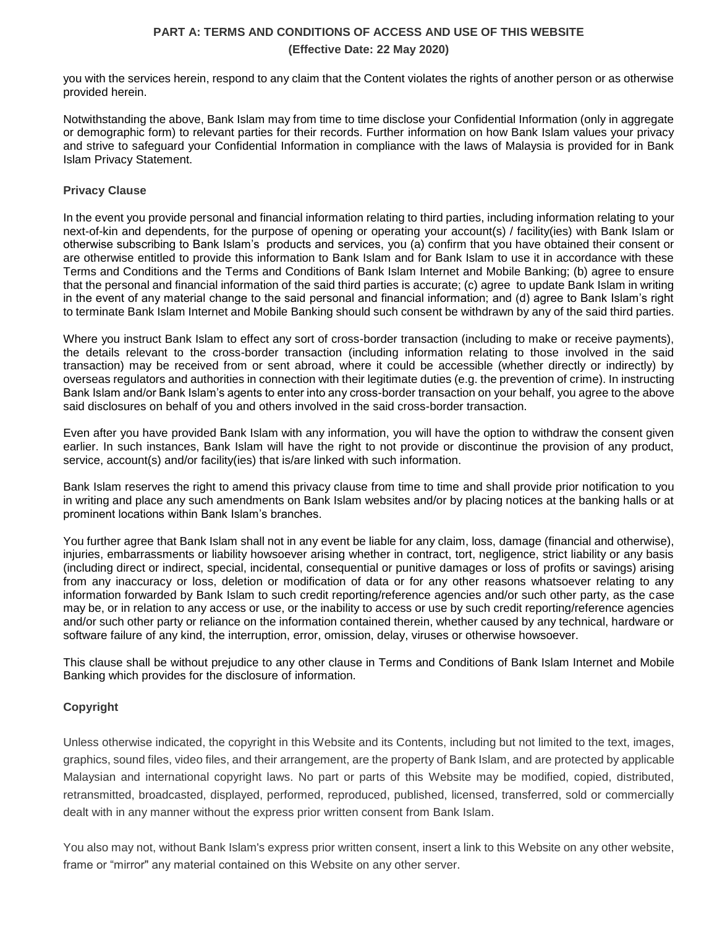you with the services herein, respond to any claim that the Content violates the rights of another person or as otherwise provided herein.

Notwithstanding the above, Bank Islam may from time to time disclose your Confidential Information (only in aggregate or demographic form) to relevant parties for their records. Further information on how Bank Islam values your privacy and strive to safeguard your Confidential Information in compliance with the laws of Malaysia is provided for in Bank Islam Privacy Statement.

### **Privacy Clause**

In the event you provide personal and financial information relating to third parties, including information relating to your next-of-kin and dependents, for the purpose of opening or operating your account(s) / facility(ies) with Bank Islam or otherwise subscribing to Bank Islam's products and services, you (a) confirm that you have obtained their consent or are otherwise entitled to provide this information to Bank Islam and for Bank Islam to use it in accordance with these Terms and Conditions and the Terms and Conditions of Bank Islam Internet and Mobile Banking; (b) agree to ensure that the personal and financial information of the said third parties is accurate; (c) agree to update Bank Islam in writing in the event of any material change to the said personal and financial information; and (d) agree to Bank Islam's right to terminate Bank Islam Internet and Mobile Banking should such consent be withdrawn by any of the said third parties.

Where you instruct Bank Islam to effect any sort of cross-border transaction (including to make or receive payments), the details relevant to the cross-border transaction (including information relating to those involved in the said transaction) may be received from or sent abroad, where it could be accessible (whether directly or indirectly) by overseas regulators and authorities in connection with their legitimate duties (e.g. the prevention of crime). In instructing Bank Islam and/or Bank Islam's agents to enter into any cross-border transaction on your behalf, you agree to the above said disclosures on behalf of you and others involved in the said cross-border transaction.

Even after you have provided Bank Islam with any information, you will have the option to withdraw the consent given earlier. In such instances, Bank Islam will have the right to not provide or discontinue the provision of any product, service, account(s) and/or facility(ies) that is/are linked with such information.

Bank Islam reserves the right to amend this privacy clause from time to time and shall provide prior notification to you in writing and place any such amendments on Bank Islam websites and/or by placing notices at the banking halls or at prominent locations within Bank Islam's branches.

You further agree that Bank Islam shall not in any event be liable for any claim, loss, damage (financial and otherwise), injuries, embarrassments or liability howsoever arising whether in contract, tort, negligence, strict liability or any basis (including direct or indirect, special, incidental, consequential or punitive damages or loss of profits or savings) arising from any inaccuracy or loss, deletion or modification of data or for any other reasons whatsoever relating to any information forwarded by Bank Islam to such credit reporting/reference agencies and/or such other party, as the case may be, or in relation to any access or use, or the inability to access or use by such credit reporting/reference agencies and/or such other party or reliance on the information contained therein, whether caused by any technical, hardware or software failure of any kind, the interruption, error, omission, delay, viruses or otherwise howsoever.

This clause shall be without prejudice to any other clause in Terms and Conditions of Bank Islam Internet and Mobile Banking which provides for the disclosure of information.

## **Copyright**

Unless otherwise indicated, the copyright in this Website and its Contents, including but not limited to the text, images, graphics, sound files, video files, and their arrangement, are the property of Bank Islam, and are protected by applicable Malaysian and international copyright laws. No part or parts of this Website may be modified, copied, distributed, retransmitted, broadcasted, displayed, performed, reproduced, published, licensed, transferred, sold or commercially dealt with in any manner without the express prior written consent from Bank Islam.

You also may not, without Bank Islam's express prior written consent, insert a link to this Website on any other website, frame or "mirror" any material contained on this Website on any other server.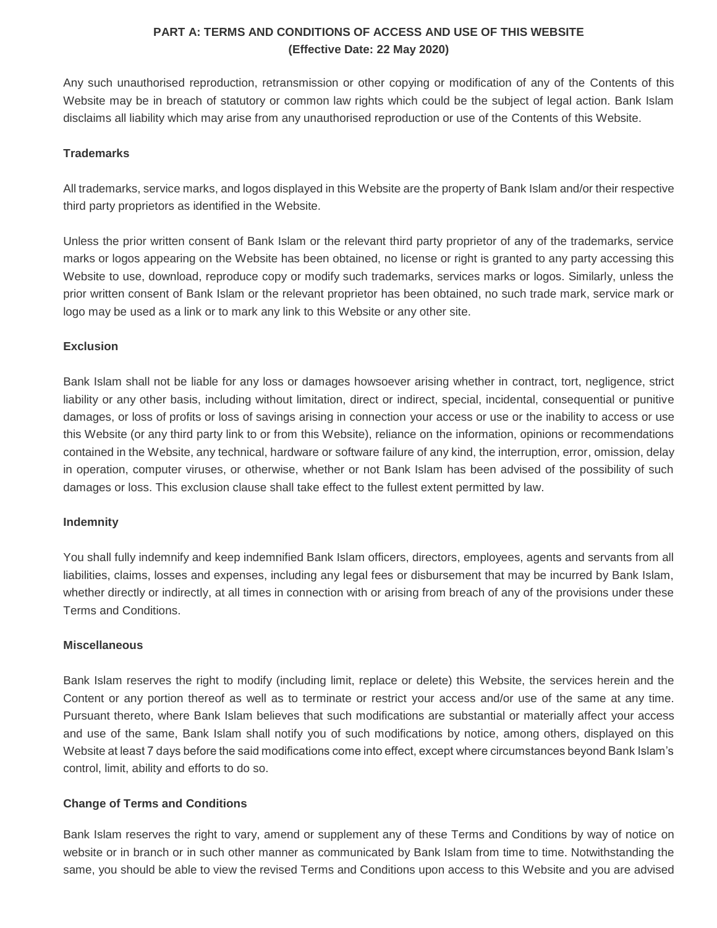Any such unauthorised reproduction, retransmission or other copying or modification of any of the Contents of this Website may be in breach of statutory or common law rights which could be the subject of legal action. Bank Islam disclaims all liability which may arise from any unauthorised reproduction or use of the Contents of this Website.

### **Trademarks**

All trademarks, service marks, and logos displayed in this Website are the property of Bank Islam and/or their respective third party proprietors as identified in the Website.

Unless the prior written consent of Bank Islam or the relevant third party proprietor of any of the trademarks, service marks or logos appearing on the Website has been obtained, no license or right is granted to any party accessing this Website to use, download, reproduce copy or modify such trademarks, services marks or logos. Similarly, unless the prior written consent of Bank Islam or the relevant proprietor has been obtained, no such trade mark, service mark or logo may be used as a link or to mark any link to this Website or any other site.

#### **Exclusion**

Bank Islam shall not be liable for any loss or damages howsoever arising whether in contract, tort, negligence, strict liability or any other basis, including without limitation, direct or indirect, special, incidental, consequential or punitive damages, or loss of profits or loss of savings arising in connection your access or use or the inability to access or use this Website (or any third party link to or from this Website), reliance on the information, opinions or recommendations contained in the Website, any technical, hardware or software failure of any kind, the interruption, error, omission, delay in operation, computer viruses, or otherwise, whether or not Bank Islam has been advised of the possibility of such damages or loss. This exclusion clause shall take effect to the fullest extent permitted by law.

#### **Indemnity**

You shall fully indemnify and keep indemnified Bank Islam officers, directors, employees, agents and servants from all liabilities, claims, losses and expenses, including any legal fees or disbursement that may be incurred by Bank Islam, whether directly or indirectly, at all times in connection with or arising from breach of any of the provisions under these Terms and Conditions.

#### **Miscellaneous**

Bank Islam reserves the right to modify (including limit, replace or delete) this Website, the services herein and the Content or any portion thereof as well as to terminate or restrict your access and/or use of the same at any time. Pursuant thereto, where Bank Islam believes that such modifications are substantial or materially affect your access and use of the same, Bank Islam shall notify you of such modifications by notice, among others, displayed on this Website at least 7 days before the said modifications come into effect, except where circumstances beyond Bank Islam's control, limit, ability and efforts to do so.

#### **Change of Terms and Conditions**

Bank Islam reserves the right to vary, amend or supplement any of these Terms and Conditions by way of notice on website or in branch or in such other manner as communicated by Bank Islam from time to time. Notwithstanding the same, you should be able to view the revised Terms and Conditions upon access to this Website and you are advised